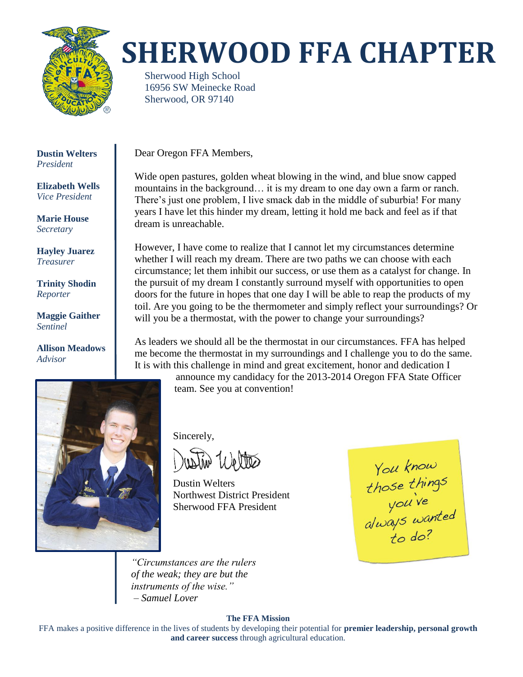

# **SHERWOOD FFA CHAPTER**

Sherwood High School 16956 SW Meinecke Road Sherwood, OR 97140

**Dustin Welters** *President*

**Elizabeth Wells** *Vice President*

**Marie House** *Secretary*

**Hayley Juarez** *Treasurer*

**Trinity Shodin** *Reporter*

**Maggie Gaither** *Sentinel*

**Allison Meadows** *Advisor*



Dear Oregon FFA Members,

Wide open pastures, golden wheat blowing in the wind, and blue snow capped mountains in the background… it is my dream to one day own a farm or ranch. There's just one problem, I live smack dab in the middle of suburbia! For many years I have let this hinder my dream, letting it hold me back and feel as if that dream is unreachable.

However, I have come to realize that I cannot let my circumstances determine whether I will reach my dream. There are two paths we can choose with each circumstance; let them inhibit our success, or use them as a catalyst for change. In the pursuit of my dream I constantly surround myself with opportunities to open doors for the future in hopes that one day I will be able to reap the products of my toil. Are you going to be the thermometer and simply reflect your surroundings? Or will you be a thermostat, with the power to change your surroundings?

As leaders we should all be the thermostat in our circumstances. FFA has helped me become the thermostat in my surroundings and I challenge you to do the same. It is with this challenge in mind and great excitement, honor and dedication I

> announce my candidacy for the 2013-2014 Oregon FFA State Officer team. See you at convention!

Sincerely,

tiv Weltes

Dustin Welters Northwest District President Sherwood FFA President

You know<br>those things<br>you've<br>always wanted<br>to do?

*"Circumstances are the rulers of the weak; they are but the instruments of the wise." – Samuel Lover*

#### **The FFA Mission**

FFA makes a positive difference in the lives of students by developing their potential for **premier leadership, personal growth and career success** through agricultural education.